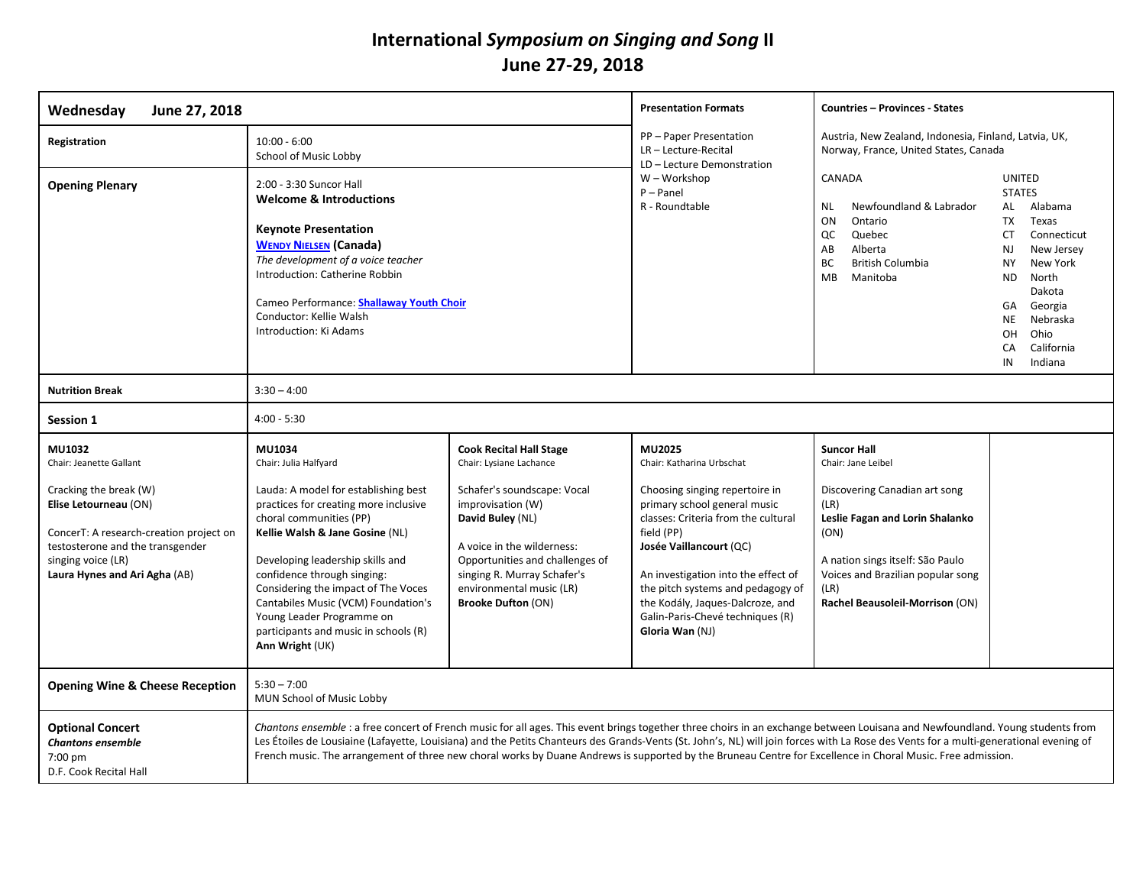## **International** *Symposium on Singing and Song* **II June 27-29, 2018**

| Wednesday<br>June 27, 2018                                                                                                                                                                                                        |                                                                                                                                                                                                                                                                                                                                                                                                                                                                                                                                         |                                                                                                                                                                                                                                                                                            | <b>Presentation Formats</b><br><b>Countries - Provinces - States</b>                                                                                                                                                                                                                                                                                         |                                                                                                                                                                                                                                                  |                                                                                                                                                                                                                                                                |
|-----------------------------------------------------------------------------------------------------------------------------------------------------------------------------------------------------------------------------------|-----------------------------------------------------------------------------------------------------------------------------------------------------------------------------------------------------------------------------------------------------------------------------------------------------------------------------------------------------------------------------------------------------------------------------------------------------------------------------------------------------------------------------------------|--------------------------------------------------------------------------------------------------------------------------------------------------------------------------------------------------------------------------------------------------------------------------------------------|--------------------------------------------------------------------------------------------------------------------------------------------------------------------------------------------------------------------------------------------------------------------------------------------------------------------------------------------------------------|--------------------------------------------------------------------------------------------------------------------------------------------------------------------------------------------------------------------------------------------------|----------------------------------------------------------------------------------------------------------------------------------------------------------------------------------------------------------------------------------------------------------------|
| Registration                                                                                                                                                                                                                      | $10:00 - 6:00$<br>School of Music Lobby                                                                                                                                                                                                                                                                                                                                                                                                                                                                                                 |                                                                                                                                                                                                                                                                                            | PP - Paper Presentation<br>Austria, New Zealand, Indonesia, Finland, Latvia, UK,<br>LR-Lecture-Recital<br>Norway, France, United States, Canada<br>LD - Lecture Demonstration                                                                                                                                                                                |                                                                                                                                                                                                                                                  |                                                                                                                                                                                                                                                                |
| <b>Opening Plenary</b>                                                                                                                                                                                                            | 2:00 - 3:30 Suncor Hall<br><b>Welcome &amp; Introductions</b><br><b>Keynote Presentation</b><br><b>WENDY NIELSEN (Canada)</b><br>The development of a voice teacher<br>Introduction: Catherine Robbin<br>Cameo Performance: Shallaway Youth Choir<br>Conductor: Kellie Walsh<br>Introduction: Ki Adams                                                                                                                                                                                                                                  |                                                                                                                                                                                                                                                                                            | W - Workshop<br>$P$ – Panel<br>R - Roundtable                                                                                                                                                                                                                                                                                                                | CANADA<br>Newfoundland & Labrador<br><b>NL</b><br>ON<br>Ontario<br>QC<br>Quebec<br>Alberta<br>AB<br><b>British Columbia</b><br>BC<br><b>MB</b><br>Manitoba                                                                                       | <b>UNITED</b><br><b>STATES</b><br>AL<br>Alabama<br><b>TX</b><br>Texas<br>СT<br>Connecticut<br><b>NJ</b><br>New Jersey<br>New York<br><b>NY</b><br>ND.<br>North<br>Dakota<br>Georgia<br>GA<br>NE<br>Nebraska<br>OH<br>Ohio<br>California<br>CA<br>IN<br>Indiana |
| <b>Nutrition Break</b>                                                                                                                                                                                                            | $3:30 - 4:00$                                                                                                                                                                                                                                                                                                                                                                                                                                                                                                                           |                                                                                                                                                                                                                                                                                            |                                                                                                                                                                                                                                                                                                                                                              |                                                                                                                                                                                                                                                  |                                                                                                                                                                                                                                                                |
| Session 1                                                                                                                                                                                                                         | $4:00 - 5:30$                                                                                                                                                                                                                                                                                                                                                                                                                                                                                                                           |                                                                                                                                                                                                                                                                                            |                                                                                                                                                                                                                                                                                                                                                              |                                                                                                                                                                                                                                                  |                                                                                                                                                                                                                                                                |
| <b>MU1032</b><br>Chair: Jeanette Gallant<br>Cracking the break (W)<br>Elise Letourneau (ON)<br>ConcerT: A research-creation project on<br>testosterone and the transgender<br>singing voice (LR)<br>Laura Hynes and Ari Agha (AB) | MU1034<br>Chair: Julia Halfyard<br>Lauda: A model for establishing best<br>practices for creating more inclusive<br>choral communities (PP)<br>Kellie Walsh & Jane Gosine (NL)<br>Developing leadership skills and<br>confidence through singing:<br>Considering the impact of The Voces<br>Cantabiles Music (VCM) Foundation's<br>Young Leader Programme on<br>participants and music in schools (R)<br>Ann Wright (UK)                                                                                                                | <b>Cook Recital Hall Stage</b><br>Chair: Lysiane Lachance<br>Schafer's soundscape: Vocal<br>improvisation (W)<br>David Buley (NL)<br>A voice in the wilderness:<br>Opportunities and challenges of<br>singing R. Murray Schafer's<br>environmental music (LR)<br><b>Brooke Dufton (ON)</b> | MU2025<br>Chair: Katharina Urbschat<br>Choosing singing repertoire in<br>primary school general music<br>classes: Criteria from the cultural<br>field (PP)<br>Josée Vaillancourt (QC)<br>An investigation into the effect of<br>the pitch systems and pedagogy of<br>the Kodály, Jaques-Dalcroze, and<br>Galin-Paris-Chevé techniques (R)<br>Gloria Wan (NJ) | <b>Suncor Hall</b><br>Chair: Jane Leibel<br>Discovering Canadian art song<br>(LR)<br>Leslie Fagan and Lorin Shalanko<br>(ON)<br>A nation sings itself: São Paulo<br>Voices and Brazilian popular song<br>(LR)<br>Rachel Beausoleil-Morrison (ON) |                                                                                                                                                                                                                                                                |
| <b>Opening Wine &amp; Cheese Reception</b>                                                                                                                                                                                        | $5:30 - 7:00$<br>MUN School of Music Lobby                                                                                                                                                                                                                                                                                                                                                                                                                                                                                              |                                                                                                                                                                                                                                                                                            |                                                                                                                                                                                                                                                                                                                                                              |                                                                                                                                                                                                                                                  |                                                                                                                                                                                                                                                                |
| <b>Optional Concert</b><br><b>Chantons ensemble</b><br>7:00 pm<br>D.F. Cook Recital Hall                                                                                                                                          | Chantons ensemble : a free concert of French music for all ages. This event brings together three choirs in an exchange between Louisana and Newfoundland. Young students from<br>Les Étoiles de Lousiaine (Lafayette, Louisiana) and the Petits Chanteurs des Grands-Vents (St. John's, NL) will join forces with La Rose des Vents for a multi-generational evening of<br>French music. The arrangement of three new choral works by Duane Andrews is supported by the Bruneau Centre for Excellence in Choral Music. Free admission. |                                                                                                                                                                                                                                                                                            |                                                                                                                                                                                                                                                                                                                                                              |                                                                                                                                                                                                                                                  |                                                                                                                                                                                                                                                                |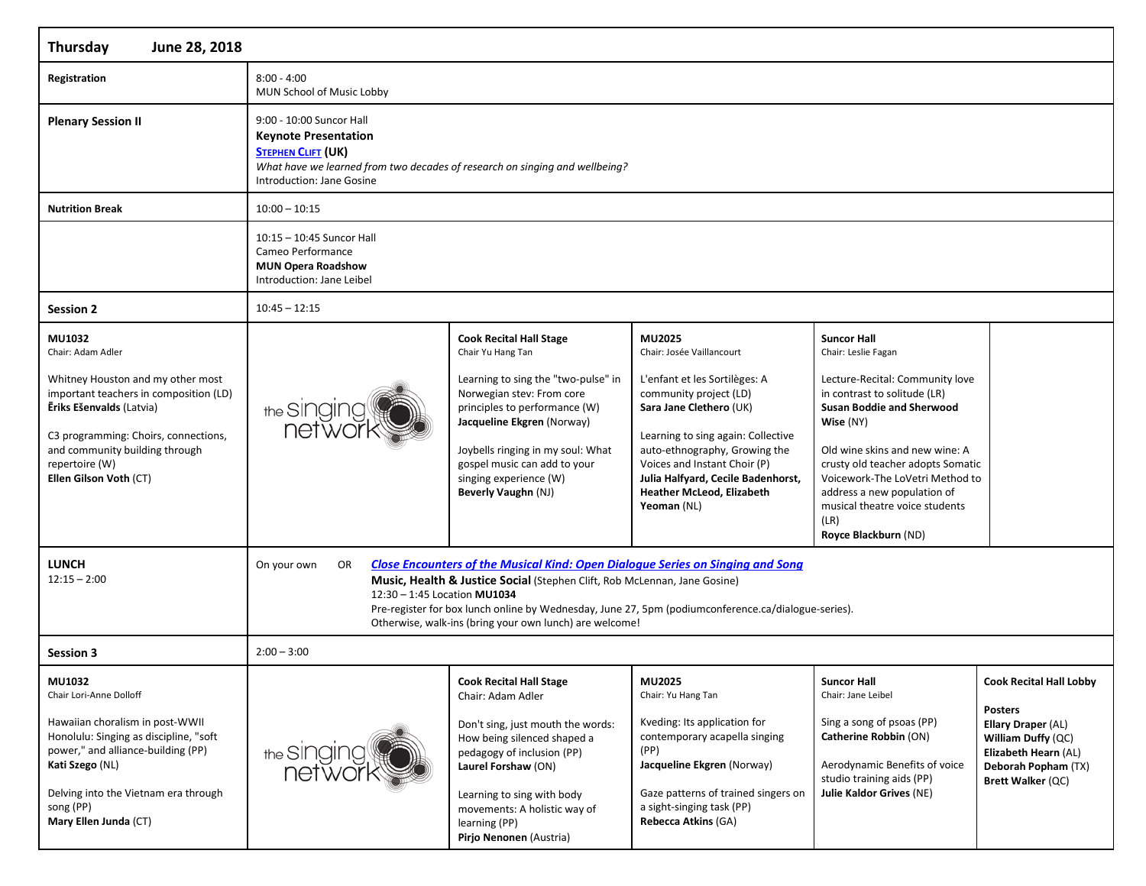| Thursday<br>June 28, 2018                                                                                                                                                                                                                                                                      |                                                                                                                                                                                                  |                                                                                                                                                                                                                                                                                                                                                                                                                                                                                                                                                                                                                                                             |                                                                                                                                                                                                                                                                                                                           |                                                                                                                                                                                                                                                                                                                                                                          |                                                                                                              |
|------------------------------------------------------------------------------------------------------------------------------------------------------------------------------------------------------------------------------------------------------------------------------------------------|--------------------------------------------------------------------------------------------------------------------------------------------------------------------------------------------------|-------------------------------------------------------------------------------------------------------------------------------------------------------------------------------------------------------------------------------------------------------------------------------------------------------------------------------------------------------------------------------------------------------------------------------------------------------------------------------------------------------------------------------------------------------------------------------------------------------------------------------------------------------------|---------------------------------------------------------------------------------------------------------------------------------------------------------------------------------------------------------------------------------------------------------------------------------------------------------------------------|--------------------------------------------------------------------------------------------------------------------------------------------------------------------------------------------------------------------------------------------------------------------------------------------------------------------------------------------------------------------------|--------------------------------------------------------------------------------------------------------------|
| Registration                                                                                                                                                                                                                                                                                   | $8:00 - 4:00$<br>MUN School of Music Lobby                                                                                                                                                       |                                                                                                                                                                                                                                                                                                                                                                                                                                                                                                                                                                                                                                                             |                                                                                                                                                                                                                                                                                                                           |                                                                                                                                                                                                                                                                                                                                                                          |                                                                                                              |
| <b>Plenary Session II</b>                                                                                                                                                                                                                                                                      | 9:00 - 10:00 Suncor Hall<br><b>Keynote Presentation</b><br><b>STEPHEN CLIFT (UK)</b><br>What have we learned from two decades of research on singing and wellbeing?<br>Introduction: Jane Gosine |                                                                                                                                                                                                                                                                                                                                                                                                                                                                                                                                                                                                                                                             |                                                                                                                                                                                                                                                                                                                           |                                                                                                                                                                                                                                                                                                                                                                          |                                                                                                              |
| <b>Nutrition Break</b>                                                                                                                                                                                                                                                                         | $10:00 - 10:15$                                                                                                                                                                                  |                                                                                                                                                                                                                                                                                                                                                                                                                                                                                                                                                                                                                                                             |                                                                                                                                                                                                                                                                                                                           |                                                                                                                                                                                                                                                                                                                                                                          |                                                                                                              |
|                                                                                                                                                                                                                                                                                                | 10:15 - 10:45 Suncor Hall<br>Cameo Performance<br><b>MUN Opera Roadshow</b><br>Introduction: Jane Leibel                                                                                         |                                                                                                                                                                                                                                                                                                                                                                                                                                                                                                                                                                                                                                                             |                                                                                                                                                                                                                                                                                                                           |                                                                                                                                                                                                                                                                                                                                                                          |                                                                                                              |
| <b>Session 2</b>                                                                                                                                                                                                                                                                               | $10:45 - 12:15$                                                                                                                                                                                  |                                                                                                                                                                                                                                                                                                                                                                                                                                                                                                                                                                                                                                                             |                                                                                                                                                                                                                                                                                                                           |                                                                                                                                                                                                                                                                                                                                                                          |                                                                                                              |
| MU1032<br>Chair: Adam Adler<br>Whitney Houston and my other most<br>important teachers in composition (LD)<br>Eriks Ešenvalds (Latvia)<br>C3 programming: Choirs, connections,<br>and community building through<br>repertoire (W)<br>Ellen Gilson Voth (CT)<br><b>LUNCH</b><br>$12:15 - 2:00$ | the Singing<br><b>net</b> wor<br>On your own<br>OR<br>12:30 - 1:45 Location MU1034                                                                                                               | <b>Cook Recital Hall Stage</b><br>Chair Yu Hang Tan<br>Learning to sing the "two-pulse" in<br>Norwegian stev: From core<br>principles to performance (W)<br>Jacqueline Ekgren (Norway)<br>Joybells ringing in my soul: What<br>gospel music can add to your<br>singing experience (W)<br><b>Beverly Vaughn (NJ)</b><br><b>Close Encounters of the Musical Kind: Open Dialogue Series on Singing and Song</b><br>Music, Health & Justice Social (Stephen Clift, Rob McLennan, Jane Gosine)<br>Pre-register for box lunch online by Wednesday, June 27, 5pm (podiumconference.ca/dialogue-series).<br>Otherwise, walk-ins (bring your own lunch) are welcome! | MU2025<br>Chair: Josée Vaillancourt<br>L'enfant et les Sortilèges: A<br>community project (LD)<br>Sara Jane Clethero (UK)<br>Learning to sing again: Collective<br>auto-ethnography, Growing the<br>Voices and Instant Choir (P)<br>Julia Halfyard, Cecile Badenhorst,<br><b>Heather McLeod, Elizabeth</b><br>Yeoman (NL) | <b>Suncor Hall</b><br>Chair: Leslie Fagan<br>Lecture-Recital: Community love<br>in contrast to solitude (LR)<br><b>Susan Boddie and Sherwood</b><br>Wise (NY)<br>Old wine skins and new wine: A<br>crusty old teacher adopts Somatic<br>Voicework-The LoVetri Method to<br>address a new population of<br>musical theatre voice students<br>(LR)<br>Royce Blackburn (ND) |                                                                                                              |
| Session 3                                                                                                                                                                                                                                                                                      | $2:00 - 3:00$                                                                                                                                                                                    |                                                                                                                                                                                                                                                                                                                                                                                                                                                                                                                                                                                                                                                             |                                                                                                                                                                                                                                                                                                                           |                                                                                                                                                                                                                                                                                                                                                                          |                                                                                                              |
| MU1032<br>Chair Lori-Anne Dolloff                                                                                                                                                                                                                                                              |                                                                                                                                                                                                  | <b>Cook Recital Hall Stage</b><br>Chair: Adam Adler                                                                                                                                                                                                                                                                                                                                                                                                                                                                                                                                                                                                         | MU2025<br>Chair: Yu Hang Tan                                                                                                                                                                                                                                                                                              | <b>Suncor Hall</b><br>Chair: Jane Leibel                                                                                                                                                                                                                                                                                                                                 | <b>Cook Recital Hall Lobby</b><br><b>Posters</b>                                                             |
| Hawaiian choralism in post-WWII<br>Honolulu: Singing as discipline, "soft<br>power," and alliance-building (PP)<br>Kati Szego (NL)<br>Delving into the Vietnam era through<br>song (PP)<br>Mary Ellen Junda (CT)                                                                               | the Singing                                                                                                                                                                                      | Don't sing, just mouth the words:<br>How being silenced shaped a<br>pedagogy of inclusion (PP)<br>Laurel Forshaw (ON)<br>Learning to sing with body<br>movements: A holistic way of<br>learning (PP)<br>Pirjo Nenonen (Austria)                                                                                                                                                                                                                                                                                                                                                                                                                             | Kveding: Its application for<br>contemporary acapella singing<br>(PP)<br>Jacqueline Ekgren (Norway)<br>Gaze patterns of trained singers on<br>a sight-singing task (PP)<br>Rebecca Atkins (GA)                                                                                                                            | Sing a song of psoas (PP)<br>Catherine Robbin (ON)<br>Aerodynamic Benefits of voice<br>studio training aids (PP)<br>Julie Kaldor Grives (NE)                                                                                                                                                                                                                             | Ellary Draper (AL)<br>William Duffy (QC)<br>Elizabeth Hearn (AL)<br>Deborah Popham (TX)<br>Brett Walker (QC) |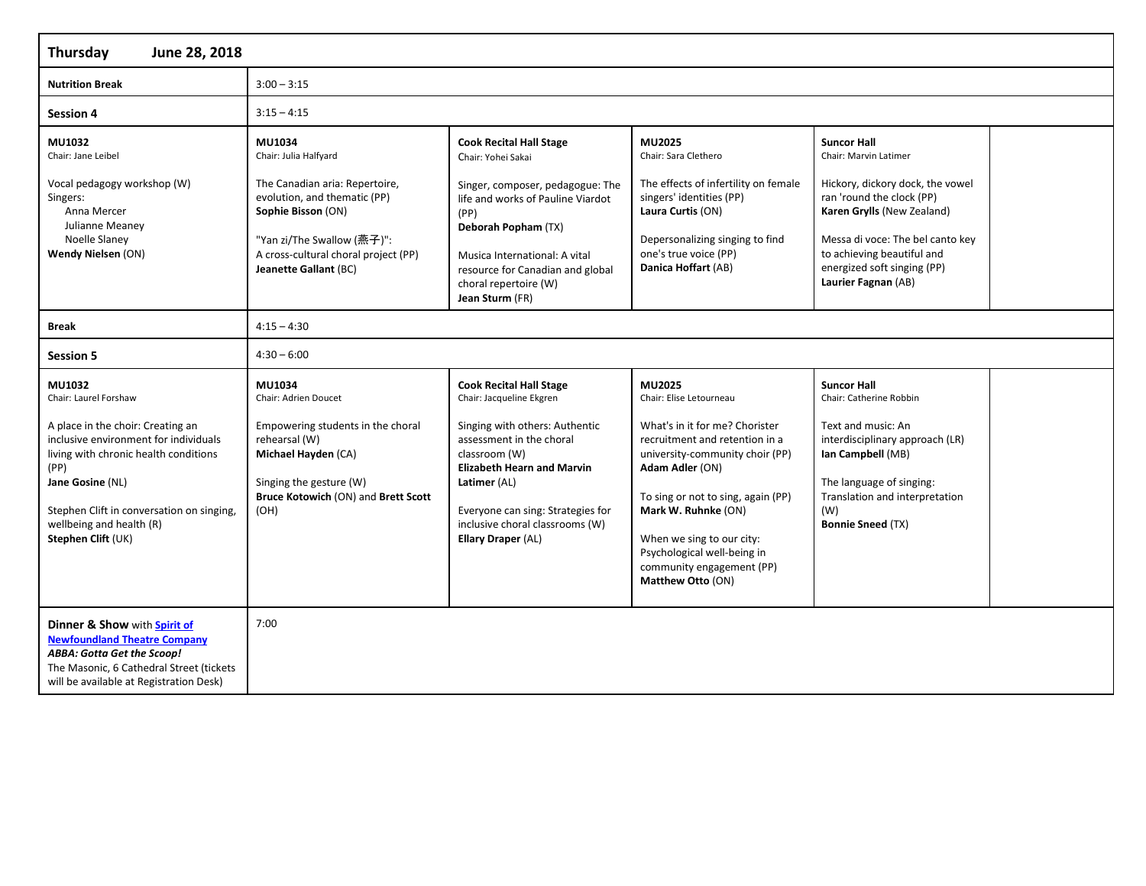| June 28, 2018<br><b>Thursday</b>                                                                                                                                                                                                                                                  |                                                                                                                                                                                                                        |                                                                                                                                                                                                                                                                                              |                                                                                                                                                                                                                                                                                                                                        |                                                                                                                                                                                                                                                                    |  |
|-----------------------------------------------------------------------------------------------------------------------------------------------------------------------------------------------------------------------------------------------------------------------------------|------------------------------------------------------------------------------------------------------------------------------------------------------------------------------------------------------------------------|----------------------------------------------------------------------------------------------------------------------------------------------------------------------------------------------------------------------------------------------------------------------------------------------|----------------------------------------------------------------------------------------------------------------------------------------------------------------------------------------------------------------------------------------------------------------------------------------------------------------------------------------|--------------------------------------------------------------------------------------------------------------------------------------------------------------------------------------------------------------------------------------------------------------------|--|
| <b>Nutrition Break</b>                                                                                                                                                                                                                                                            | $3:00 - 3:15$                                                                                                                                                                                                          |                                                                                                                                                                                                                                                                                              |                                                                                                                                                                                                                                                                                                                                        |                                                                                                                                                                                                                                                                    |  |
| <b>Session 4</b>                                                                                                                                                                                                                                                                  | $3:15 - 4:15$                                                                                                                                                                                                          |                                                                                                                                                                                                                                                                                              |                                                                                                                                                                                                                                                                                                                                        |                                                                                                                                                                                                                                                                    |  |
| MU1032<br>Chair: Jane Leibel<br>Vocal pedagogy workshop (W)<br>Singers:<br>Anna Mercer<br>Julianne Meaney<br>Noelle Slaney<br>Wendy Nielsen (ON)                                                                                                                                  | MU1034<br>Chair: Julia Halfyard<br>The Canadian aria: Repertoire,<br>evolution, and thematic (PP)<br>Sophie Bisson (ON)<br>"Yan zi/The Swallow (燕子)":<br>A cross-cultural choral project (PP)<br>Jeanette Gallant (BC) | <b>Cook Recital Hall Stage</b><br>Chair: Yohei Sakai<br>Singer, composer, pedagogue: The<br>life and works of Pauline Viardot<br>(PP)<br>Deborah Popham (TX)<br>Musica International: A vital<br>resource for Canadian and global<br>choral repertoire (W)<br>Jean Sturm (FR)                | MU2025<br>Chair: Sara Clethero<br>The effects of infertility on female<br>singers' identities (PP)<br>Laura Curtis (ON)<br>Depersonalizing singing to find<br>one's true voice (PP)<br>Danica Hoffart (AB)                                                                                                                             | <b>Suncor Hall</b><br>Chair: Marvin Latimer<br>Hickory, dickory dock, the vowel<br>ran 'round the clock (PP)<br>Karen Grylls (New Zealand)<br>Messa di voce: The bel canto key<br>to achieving beautiful and<br>energized soft singing (PP)<br>Laurier Fagnan (AB) |  |
| <b>Break</b>                                                                                                                                                                                                                                                                      | $4:15 - 4:30$                                                                                                                                                                                                          |                                                                                                                                                                                                                                                                                              |                                                                                                                                                                                                                                                                                                                                        |                                                                                                                                                                                                                                                                    |  |
| <b>Session 5</b>                                                                                                                                                                                                                                                                  | $4:30 - 6:00$                                                                                                                                                                                                          |                                                                                                                                                                                                                                                                                              |                                                                                                                                                                                                                                                                                                                                        |                                                                                                                                                                                                                                                                    |  |
| MU1032<br>Chair: Laurel Forshaw<br>A place in the choir: Creating an<br>inclusive environment for individuals<br>living with chronic health conditions<br>(PP)<br>Jane Gosine (NL)<br>Stephen Clift in conversation on singing,<br>wellbeing and health (R)<br>Stephen Clift (UK) | MU1034<br>Chair: Adrien Doucet<br>Empowering students in the choral<br>rehearsal (W)<br>Michael Hayden (CA)<br>Singing the gesture (W)<br>Bruce Kotowich (ON) and Brett Scott<br>(OH)                                  | <b>Cook Recital Hall Stage</b><br>Chair: Jacqueline Ekgren<br>Singing with others: Authentic<br>assessment in the choral<br>classroom (W)<br><b>Elizabeth Hearn and Marvin</b><br>Latimer (AL)<br>Everyone can sing: Strategies for<br>inclusive choral classrooms (W)<br>Ellary Draper (AL) | MU2025<br>Chair: Elise Letourneau<br>What's in it for me? Chorister<br>recruitment and retention in a<br>university-community choir (PP)<br>Adam Adler (ON)<br>To sing or not to sing, again (PP)<br>Mark W. Ruhnke (ON)<br>When we sing to our city:<br>Psychological well-being in<br>community engagement (PP)<br>Matthew Otto (ON) | <b>Suncor Hall</b><br>Chair: Catherine Robbin<br>Text and music: An<br>interdisciplinary approach (LR)<br>Ian Campbell (MB)<br>The language of singing:<br>Translation and interpretation<br>(W)<br><b>Bonnie Sneed (TX)</b>                                       |  |
| Dinner & Show with Spirit of<br><b>Newfoundland Theatre Company</b><br>ABBA: Gotta Get the Scoop!<br>The Masonic, 6 Cathedral Street (tickets<br>will be available at Registration Desk)                                                                                          | 7:00                                                                                                                                                                                                                   |                                                                                                                                                                                                                                                                                              |                                                                                                                                                                                                                                                                                                                                        |                                                                                                                                                                                                                                                                    |  |